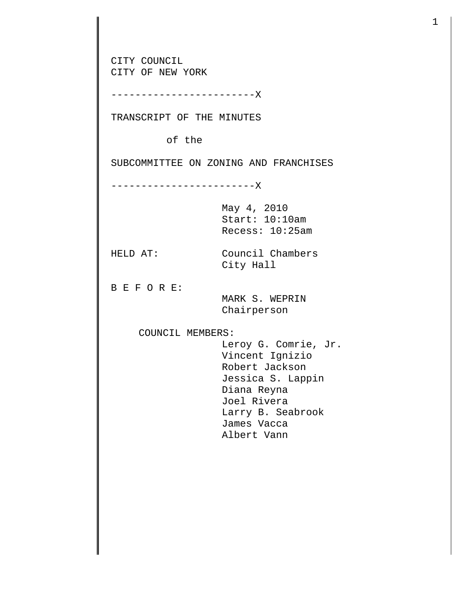CITY COUNCIL CITY OF NEW YORK ------------------------X TRANSCRIPT OF THE MINUTES of the SUBCOMMITTEE ON ZONING AND FRANCHISES ------------------------X May 4, 2010 Start: 10:10am Recess: 10:25am HELD AT: Council Chambers City Hall B E F O R E: MARK S. WEPRIN Chairperson COUNCIL MEMBERS: Leroy G. Comrie, Jr. Vincent Ignizio Robert Jackson Jessica S. Lappin Diana Reyna Joel Rivera Larry B. Seabrook James Vacca Albert Vann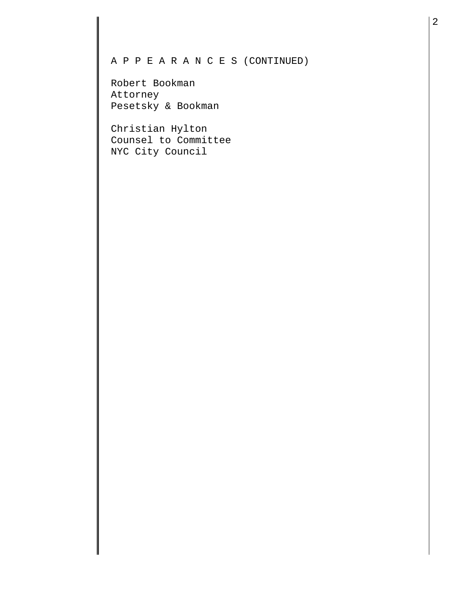## A P P E A R A N C E S (CONTINUED)

Robert Bookman Attorney Pesetsky & Bookman

Christian Hylton Counsel to Committee NYC City Council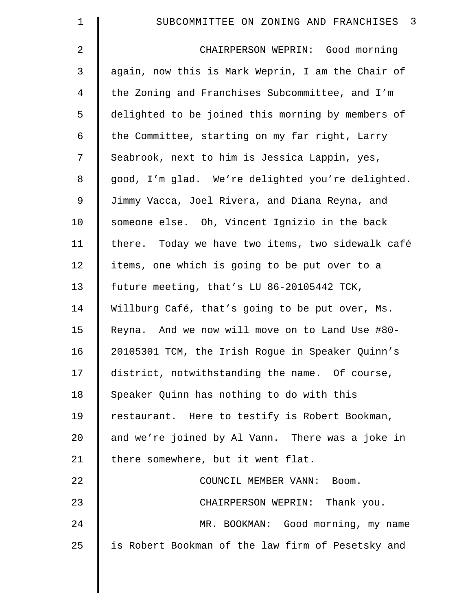| $\mathbf 1$    | $\overline{\mathbf{3}}$<br>SUBCOMMITTEE ON ZONING AND FRANCHISES |
|----------------|------------------------------------------------------------------|
| 2              | CHAIRPERSON WEPRIN: Good morning                                 |
| 3              | again, now this is Mark Weprin, I am the Chair of                |
| $\overline{4}$ | the Zoning and Franchises Subcommittee, and I'm                  |
| 5              | delighted to be joined this morning by members of                |
| 6              | the Committee, starting on my far right, Larry                   |
| 7              | Seabrook, next to him is Jessica Lappin, yes,                    |
| 8              | good, I'm glad. We're delighted you're delighted.                |
| 9              | Jimmy Vacca, Joel Rivera, and Diana Reyna, and                   |
| 10             | someone else. Oh, Vincent Ignizio in the back                    |
| 11             | there. Today we have two items, two sidewalk café                |
| 12             | items, one which is going to be put over to a                    |
| 13             | future meeting, that's LU 86-20105442 TCK,                       |
| 14             | Willburg Café, that's going to be put over, Ms.                  |
| 15             | Reyna. And we now will move on to Land Use #80-                  |
| 16             | 20105301 TCM, the Irish Rogue in Speaker Quinn's                 |
| 17             | district, notwithstanding the name. Of course,                   |
| 18             | Speaker Quinn has nothing to do with this                        |
| 19             | restaurant. Here to testify is Robert Bookman,                   |
| 20             | and we're joined by Al Vann. There was a joke in                 |
| 21             | there somewhere, but it went flat.                               |
| 22             | COUNCIL MEMBER VANN: Boom.                                       |
| 23             | CHAIRPERSON WEPRIN: Thank you.                                   |
| 24             | MR. BOOKMAN: Good morning, my name                               |
| 25             | is Robert Bookman of the law firm of Pesetsky and                |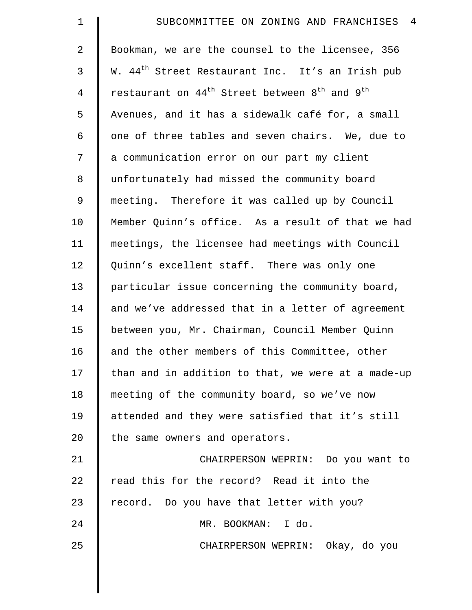| $\mathbf 1$ | SUBCOMMITTEE ON ZONING AND FRANCHISES<br>$\overline{4}$                           |
|-------------|-----------------------------------------------------------------------------------|
| 2           | Bookman, we are the counsel to the licensee, 356                                  |
| 3           | W. 44 <sup>th</sup> Street Restaurant Inc. It's an Irish pub                      |
| 4           | restaurant on 44 <sup>th</sup> Street between 8 <sup>th</sup> and 9 <sup>th</sup> |
| 5           | Avenues, and it has a sidewalk café for, a small                                  |
| 6           | one of three tables and seven chairs. We, due to                                  |
| 7           | a communication error on our part my client                                       |
| 8           | unfortunately had missed the community board                                      |
| 9           | meeting. Therefore it was called up by Council                                    |
| 10          | Member Quinn's office. As a result of that we had                                 |
| 11          | meetings, the licensee had meetings with Council                                  |
| 12          | Quinn's excellent staff. There was only one                                       |
| 13          | particular issue concerning the community board,                                  |
| 14          | and we've addressed that in a letter of agreement                                 |
| 15          | between you, Mr. Chairman, Council Member Quinn                                   |
| 16          | and the other members of this Committee, other                                    |
| 17          | than and in addition to that, we were at a made-up                                |
| 18          | meeting of the community board, so we've now                                      |
| 19          | attended and they were satisfied that it's still                                  |
| 20          | the same owners and operators.                                                    |
| 21          | CHAIRPERSON WEPRIN: Do you want to                                                |
| 22          | read this for the record? Read it into the                                        |
| 23          | record. Do you have that letter with you?                                         |
| 24          | MR. BOOKMAN: I do.                                                                |
| 25          | CHAIRPERSON WEPRIN: Okay, do you                                                  |
|             |                                                                                   |

 $\parallel$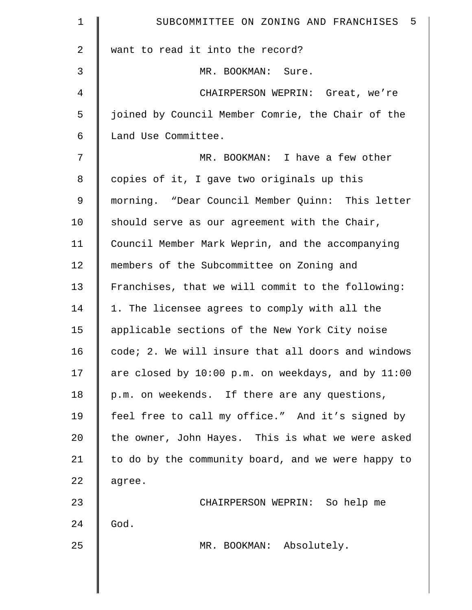| $\mathbf 1$    | SUBCOMMITTEE ON ZONING AND FRANCHISES 5            |
|----------------|----------------------------------------------------|
| $\overline{a}$ | want to read it into the record?                   |
| 3              | MR. BOOKMAN: Sure.                                 |
| 4              | CHAIRPERSON WEPRIN: Great, we're                   |
| 5              | joined by Council Member Comrie, the Chair of the  |
| 6              | Land Use Committee.                                |
| 7              | MR. BOOKMAN: I have a few other                    |
| 8              | copies of it, I gave two originals up this         |
| 9              | morning. "Dear Council Member Quinn: This letter   |
| 10             | should serve as our agreement with the Chair,      |
| 11             | Council Member Mark Weprin, and the accompanying   |
| 12             | members of the Subcommittee on Zoning and          |
| 13             | Franchises, that we will commit to the following:  |
| 14             | 1. The licensee agrees to comply with all the      |
| 15             | applicable sections of the New York City noise     |
| 16             | code; 2. We will insure that all doors and windows |
| 17             | are closed by 10:00 p.m. on weekdays, and by 11:00 |
| 18             | p.m. on weekends. If there are any questions,      |
| 19             | feel free to call my office." And it's signed by   |
| 20             | the owner, John Hayes. This is what we were asked  |
| 21             | to do by the community board, and we were happy to |
| 22             | agree.                                             |
| 23             | CHAIRPERSON WEPRIN: So help me                     |
| 24             | God.                                               |
| 25             | MR. BOOKMAN: Absolutely.                           |
|                |                                                    |
|                |                                                    |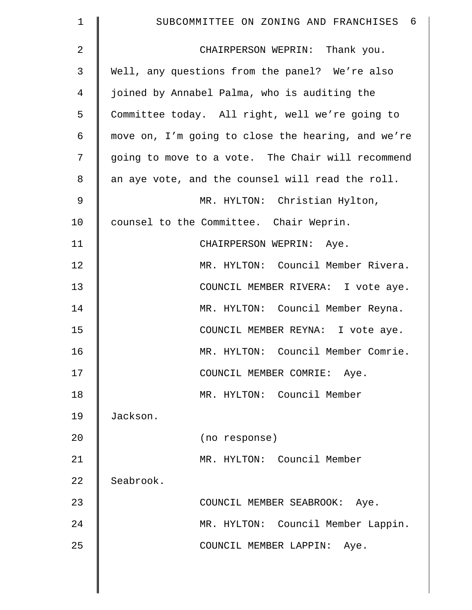| $\mathbf 1$    | SUBCOMMITTEE ON ZONING AND FRANCHISES<br>- 6       |
|----------------|----------------------------------------------------|
| $\overline{2}$ | CHAIRPERSON WEPRIN: Thank you.                     |
| 3              | Well, any questions from the panel? We're also     |
| $\overline{4}$ | joined by Annabel Palma, who is auditing the       |
| 5              | Committee today. All right, well we're going to    |
| $\epsilon$     | move on, I'm going to close the hearing, and we're |
| 7              | going to move to a vote. The Chair will recommend  |
| 8              | an aye vote, and the counsel will read the roll.   |
| 9              | MR. HYLTON: Christian Hylton,                      |
| 10             | counsel to the Committee. Chair Weprin.            |
| 11             | CHAIRPERSON WEPRIN: Aye.                           |
| 12             | MR. HYLTON: Council Member Rivera.                 |
| 13             | COUNCIL MEMBER RIVERA: I vote aye.                 |
| 14             | MR. HYLTON: Council Member Reyna.                  |
| 15             | COUNCIL MEMBER REYNA: I vote aye.                  |
| 16             | MR. HYLTON: Council Member Comrie.                 |
| 17             | COUNCIL MEMBER COMRIE: Aye.                        |
| 18             | MR. HYLTON: Council Member                         |
| 19             | Jackson.                                           |
| 20             | (no response)                                      |
| 21             | MR. HYLTON: Council Member                         |
| 22             | Seabrook.                                          |
| 23             | COUNCIL MEMBER SEABROOK: Aye.                      |
| 24             | MR. HYLTON: Council Member Lappin.                 |
| 25             | COUNCIL MEMBER LAPPIN:<br>Aye.                     |
|                |                                                    |

 $\parallel$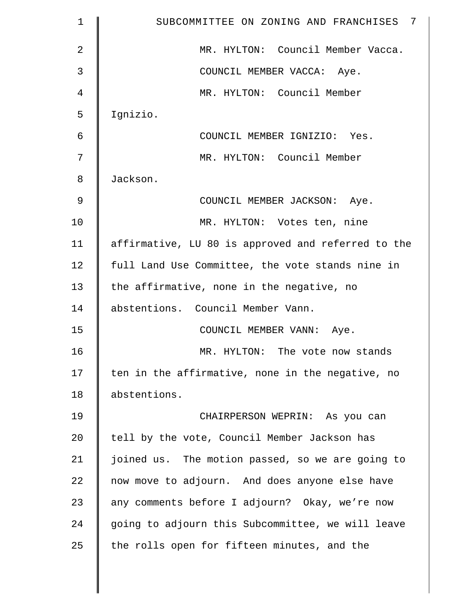| $\mathbf 1$    | SUBCOMMITTEE ON ZONING AND FRANCHISES<br>7         |
|----------------|----------------------------------------------------|
| $\overline{2}$ | MR. HYLTON: Council Member Vacca.                  |
| 3              | COUNCIL MEMBER VACCA: Aye.                         |
| 4              | MR. HYLTON: Council Member                         |
| 5              | Ignizio.                                           |
| 6              | COUNCIL MEMBER IGNIZIO: Yes.                       |
| 7              | MR. HYLTON: Council Member                         |
| 8              | Jackson.                                           |
| 9              | COUNCIL MEMBER JACKSON: Aye.                       |
| 10             | MR. HYLTON: Votes ten, nine                        |
| 11             | affirmative, LU 80 is approved and referred to the |
| 12             | full Land Use Committee, the vote stands nine in   |
| 13             | the affirmative, none in the negative, no          |
| 14             | abstentions. Council Member Vann.                  |
| 15             | COUNCIL MEMBER VANN: Aye.                          |
| 16             | MR. HYLTON: The vote now stands                    |
| 17             | ten in the affirmative, none in the negative, no   |
| 18             | abstentions.                                       |
| 19             | CHAIRPERSON WEPRIN: As you can                     |
| 20             | tell by the vote, Council Member Jackson has       |
| 21             | joined us. The motion passed, so we are going to   |
| 22             | now move to adjourn. And does anyone else have     |
| 23             | any comments before I adjourn? Okay, we're now     |
| 24             | going to adjourn this Subcommittee, we will leave  |
| 25             | the rolls open for fifteen minutes, and the        |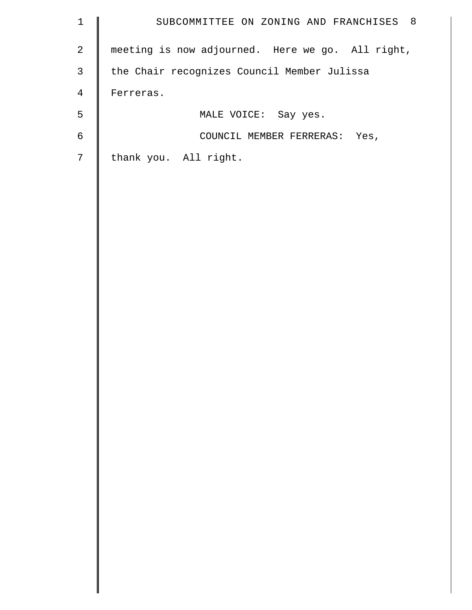| $1\,$          | SUBCOMMITTEE ON ZONING AND FRANCHISES 8          |
|----------------|--------------------------------------------------|
| $\overline{a}$ | meeting is now adjourned. Here we go. All right, |
| $\mathsf{3}$   | the Chair recognizes Council Member Julissa      |
| $\overline{4}$ | Ferreras.                                        |
| 5              | MALE VOICE: Say yes.                             |
| $\sqrt{6}$     | COUNCIL MEMBER FERRERAS: Yes,                    |
| $7\phantom{.}$ | thank you. All right.                            |
|                |                                                  |
|                |                                                  |
|                |                                                  |
|                |                                                  |
|                |                                                  |
|                |                                                  |
|                |                                                  |
|                |                                                  |
|                |                                                  |
|                |                                                  |
|                |                                                  |
|                |                                                  |
|                |                                                  |
|                |                                                  |
|                |                                                  |
|                |                                                  |
|                |                                                  |
|                |                                                  |
|                |                                                  |
|                |                                                  |